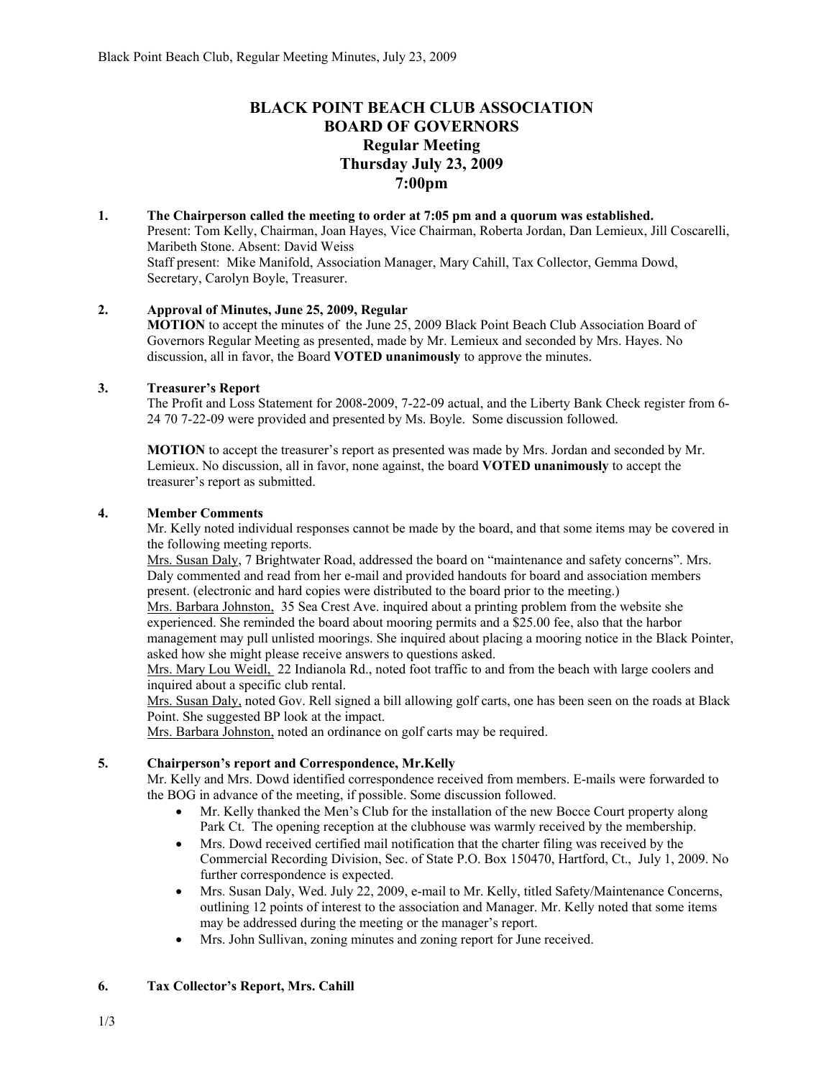# **BLACK POINT BEACH CLUB ASSOCIATION BOARD OF GOVERNORS Regular Meeting Thursday July 23, 2009 7:00pm**

**1. The Chairperson called the meeting to order at 7:05 pm and a quorum was established.**  Present: Tom Kelly, Chairman, Joan Hayes, Vice Chairman, Roberta Jordan, Dan Lemieux, Jill Coscarelli, Maribeth Stone. Absent: David Weiss Staff present: Mike Manifold, Association Manager, Mary Cahill, Tax Collector, Gemma Dowd, Secretary, Carolyn Boyle, Treasurer.

# **2. Approval of Minutes, June 25, 2009, Regular**

**MOTION** to accept the minutes of the June 25, 2009 Black Point Beach Club Association Board of Governors Regular Meeting as presented, made by Mr. Lemieux and seconded by Mrs. Hayes. No discussion, all in favor, the Board **VOTED unanimously** to approve the minutes.

# **3. Treasurer's Report**

The Profit and Loss Statement for 2008-2009, 7-22-09 actual, and the Liberty Bank Check register from 6- 24 70 7-22-09 were provided and presented by Ms. Boyle. Some discussion followed.

**MOTION** to accept the treasurer's report as presented was made by Mrs. Jordan and seconded by Mr. Lemieux. No discussion, all in favor, none against, the board **VOTED unanimously** to accept the treasurer's report as submitted.

#### **4. Member Comments**

Mr. Kelly noted individual responses cannot be made by the board, and that some items may be covered in the following meeting reports.

Mrs. Susan Daly, 7 Brightwater Road, addressed the board on "maintenance and safety concerns". Mrs. Daly commented and read from her e-mail and provided handouts for board and association members present. (electronic and hard copies were distributed to the board prior to the meeting.)

Mrs. Barbara Johnston, 35 Sea Crest Ave. inquired about a printing problem from the website she experienced. She reminded the board about mooring permits and a \$25.00 fee, also that the harbor management may pull unlisted moorings. She inquired about placing a mooring notice in the Black Pointer, asked how she might please receive answers to questions asked.

Mrs. Mary Lou Weidl, 22 Indianola Rd., noted foot traffic to and from the beach with large coolers and inquired about a specific club rental.

Mrs. Susan Daly, noted Gov. Rell signed a bill allowing golf carts, one has been seen on the roads at Black Point. She suggested BP look at the impact.

Mrs. Barbara Johnston, noted an ordinance on golf carts may be required.

# **5. Chairperson's report and Correspondence, Mr.Kelly**

Mr. Kelly and Mrs. Dowd identified correspondence received from members. E-mails were forwarded to the BOG in advance of the meeting, if possible. Some discussion followed.

- Mr. Kelly thanked the Men's Club for the installation of the new Bocce Court property along Park Ct. The opening reception at the clubhouse was warmly received by the membership.
- Mrs. Dowd received certified mail notification that the charter filing was received by the Commercial Recording Division, Sec. of State P.O. Box 150470, Hartford, Ct., July 1, 2009. No further correspondence is expected.
- Mrs. Susan Daly, Wed. July 22, 2009, e-mail to Mr. Kelly, titled Safety/Maintenance Concerns, outlining 12 points of interest to the association and Manager. Mr. Kelly noted that some items may be addressed during the meeting or the manager's report.
- Mrs. John Sullivan, zoning minutes and zoning report for June received.

# **6. Tax Collector's Report, Mrs. Cahill**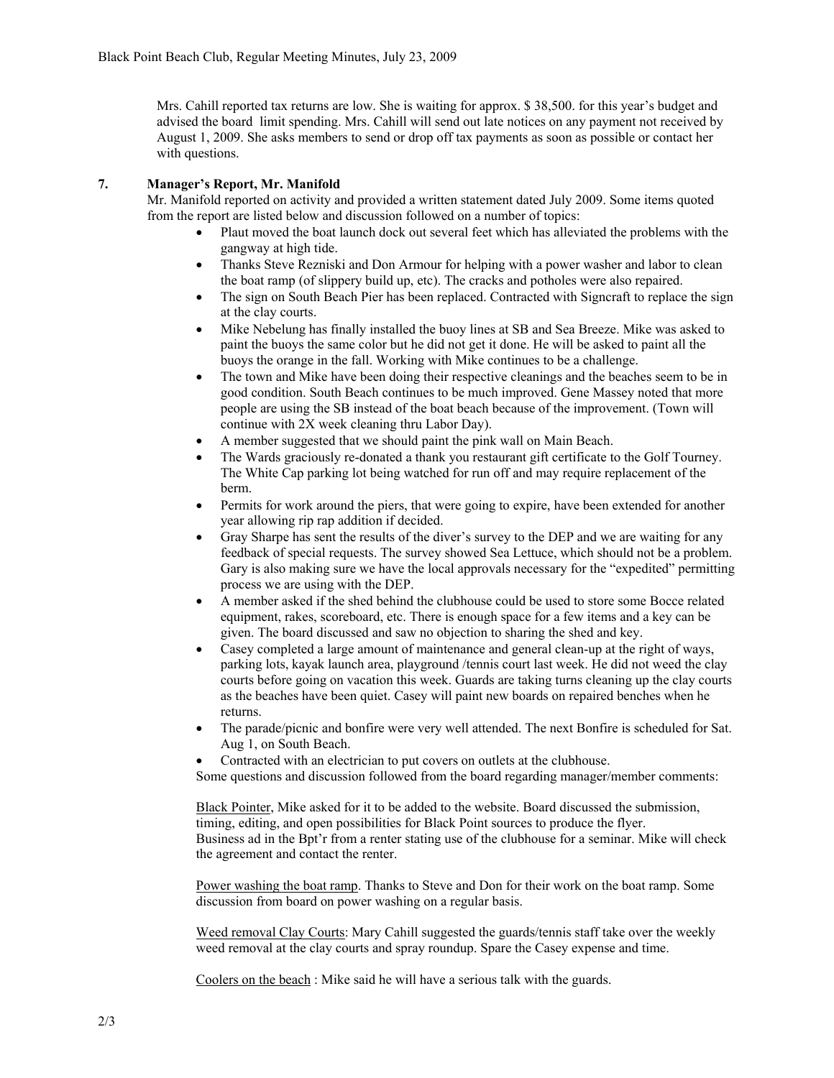Mrs. Cahill reported tax returns are low. She is waiting for approx. \$ 38,500. for this year's budget and advised the board limit spending. Mrs. Cahill will send out late notices on any payment not received by August 1, 2009. She asks members to send or drop off tax payments as soon as possible or contact her with questions.

# **7. Manager's Report, Mr. Manifold**

Mr. Manifold reported on activity and provided a written statement dated July 2009. Some items quoted from the report are listed below and discussion followed on a number of topics:

- Plaut moved the boat launch dock out several feet which has alleviated the problems with the gangway at high tide.
- Thanks Steve Rezniski and Don Armour for helping with a power washer and labor to clean the boat ramp (of slippery build up, etc). The cracks and potholes were also repaired.
- The sign on South Beach Pier has been replaced. Contracted with Signcraft to replace the sign at the clay courts.
- Mike Nebelung has finally installed the buoy lines at SB and Sea Breeze. Mike was asked to paint the buoys the same color but he did not get it done. He will be asked to paint all the buoys the orange in the fall. Working with Mike continues to be a challenge.
- The town and Mike have been doing their respective cleanings and the beaches seem to be in good condition. South Beach continues to be much improved. Gene Massey noted that more people are using the SB instead of the boat beach because of the improvement. (Town will continue with 2X week cleaning thru Labor Day).
- A member suggested that we should paint the pink wall on Main Beach.
- The Wards graciously re-donated a thank you restaurant gift certificate to the Golf Tourney. The White Cap parking lot being watched for run off and may require replacement of the berm.
- Permits for work around the piers, that were going to expire, have been extended for another year allowing rip rap addition if decided.
- Gray Sharpe has sent the results of the diver's survey to the DEP and we are waiting for any feedback of special requests. The survey showed Sea Lettuce, which should not be a problem. Gary is also making sure we have the local approvals necessary for the "expedited" permitting process we are using with the DEP.
- A member asked if the shed behind the clubhouse could be used to store some Bocce related equipment, rakes, scoreboard, etc. There is enough space for a few items and a key can be given. The board discussed and saw no objection to sharing the shed and key.
- Casey completed a large amount of maintenance and general clean-up at the right of ways, parking lots, kayak launch area, playground /tennis court last week. He did not weed the clay courts before going on vacation this week. Guards are taking turns cleaning up the clay courts as the beaches have been quiet. Casey will paint new boards on repaired benches when he returns.
- The parade/picnic and bonfire were very well attended. The next Bonfire is scheduled for Sat. Aug 1, on South Beach.
- Contracted with an electrician to put covers on outlets at the clubhouse.

Some questions and discussion followed from the board regarding manager/member comments:

Black Pointer, Mike asked for it to be added to the website. Board discussed the submission, timing, editing, and open possibilities for Black Point sources to produce the flyer. Business ad in the Bpt'r from a renter stating use of the clubhouse for a seminar. Mike will check the agreement and contact the renter.

Power washing the boat ramp. Thanks to Steve and Don for their work on the boat ramp. Some discussion from board on power washing on a regular basis.

Weed removal Clay Courts: Mary Cahill suggested the guards/tennis staff take over the weekly weed removal at the clay courts and spray roundup. Spare the Casey expense and time.

Coolers on the beach : Mike said he will have a serious talk with the guards.